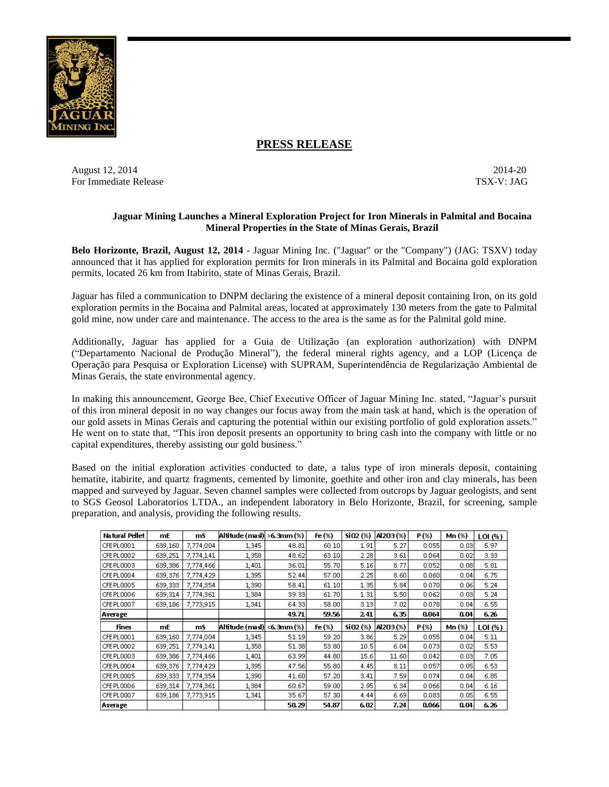

# **PRESS RELEASE**

August 12, 2014-20 2014-20 For Immediate Release TSX-V: JAG

# **Jaguar Mining Launches a Mineral Exploration Project for Iron Minerals in Palmital and Bocaina Mineral Properties in the State of Minas Gerais, Brazil**

**Belo Horizonte, Brazil, August 12, 2014 -** Jaguar Mining Inc. ("Jaguar" or the "Company") (JAG: TSXV) today announced that it has applied for exploration permits for Iron minerals in its Palmital and Bocaina gold exploration permits, located 26 km from Itabirito, state of Minas Gerais, Brazil.

Jaguar has filed a communication to DNPM declaring the existence of a mineral deposit containing Iron, on its gold exploration permits in the Bocaina and Palmital areas, located at approximately 130 meters from the gate to Palmital gold mine, now under care and maintenance. The access to the area is the same as for the Palmital gold mine.

Additionally, Jaguar has applied for a Guia de Utilização (an exploration authorization) with DNPM ("Departamento Nacional de Produção Mineral"), the federal mineral rights agency, and a LOP (Licença de Operação para Pesquisa or Exploration License) with SUPRAM, Superintendência de Regularização Ambiental de Minas Gerais, the state environmental agency.

In making this announcement, George Bee, Chief Executive Officer of Jaguar Mining Inc. stated, "Jaguar's pursuit of this iron mineral deposit in no way changes our focus away from the main task at hand, which is the operation of our gold assets in Minas Gerais and capturing the potential within our existing portfolio of gold exploration assets." He went on to state that, "This iron deposit presents an opportunity to bring cash into the company with little or no capital expenditures, thereby assisting our gold business."

Based on the initial exploration activities conducted to date, a talus type of iron minerals deposit, containing hematite, itabirite, and quartz fragments, cemented by limonite, goethite and other iron and clay minerals, has been mapped and surveyed by Jaguar. Seven channel samples were collected from outcrops by Jaguar geologists, and sent to SGS Geosol Laboratorios LTDA., an independent laboratory in Belo Horizonte, Brazil, for screening, sample preparation, and analysis, providing the following results.

| Natural Pellet | mE      | mS        | Altitude (masl)  >6.3mm (%) |       | Fe (%)    | $sio2(*)$  | AI203(%) | P(%)  | Mn (%) | LOI (%) |
|----------------|---------|-----------|-----------------------------|-------|-----------|------------|----------|-------|--------|---------|
| CFE PL0001     | 639,160 | 7,774,004 | 1,345                       | 48.81 | 60.10     | 1.91       | 5.27     | 0.055 | 0.03   | 5.97    |
| CFE PL0002     | 639,251 | 7,774,141 | 1,358                       | 48.62 | 63.10     | 2.28       | 3.61     | 0.064 | 0.02   | 3.33    |
| CFE PL0003     | 639,386 | 7,774,466 | 1,401                       | 36.01 | 55.70     | 5.16       | 8.77     | 0.052 | 0.08   | 5.81    |
| CFE PL0004     | 639,376 | 7,774,429 | 1,395                       | 52.44 | 57.00     | 2.25       | 8.60     | 0.060 | 0.04   | 6.75    |
| CFE PL0005     | 639,333 | 7,774,354 | 1,390                       | 58.41 | 61.10     | 1.35       | 5.84     | 0.070 | 0.06   | 5.24    |
| CFE PL0006     | 639,314 | 7,774,361 | 1,384                       | 39.33 | 61.70     | 1.31       | 5.50     | 0.062 | 0.03   | 5.24    |
| CFE PL0007     | 639,186 | 7,773,915 | 1,341                       | 64.33 | 58.00     | 3.13       | 7.02     | 0.078 | 0.04   | 6.55    |
| Average        |         |           |                             | 49.71 | 59.56     | 241        | 6.35     | 0.064 | 0.04   | 6.26    |
|                |         |           |                             |       |           |            |          |       |        |         |
| <b>Fines</b>   | mE      | mS        | Altitude (masl)  <6.3mm (%) |       | Fe $(\%)$ | $SiO2$ (%) | AI2O3(%) | P(%)  | Mn (%) | LOI (%) |
| CFE PL0001     | 639,160 | 7,774,004 | 1,345                       | 51.19 | 59.20     | 3.86       | 5.29     | 0.055 | 0.04   | 5.11    |
| CFE PL0002     | 639,251 | 7,774,141 | 1,358                       | 51.38 | 53.80     | 10.5       | 6.04     | 0.073 | 0.02   | 5.53    |
| CFE PL0003     | 639,386 | 7,774,466 | 1,401                       | 63.99 | 44.80     | 15.6       | 11.60    | 0.042 | 0.03   | 7.05    |
| CFE PL0004     | 639,376 | 7,774,429 | 1,395                       | 47.56 | 55.80     | 4.45       | 8.11     | 0.057 | 0.05   | 6.53    |
| CFE PL0005     | 639,333 | 7,774,354 | 1,390                       | 41.60 | 57.20     | 3.41       | 7.59     | 0.074 | 0.04   | 6.85    |
| CFE PL0006     | 639,314 | 7,774,361 | 1,384                       | 60.67 | 59.00     | 2.95       | 6.34     | 0.066 | 0.04   | 6.16    |
| CFE PL0007     | 639,186 | 7,773,915 | 1,341                       | 35.67 | 57.30     | 4.44       | 6.69     | 0.083 | 0.05   | 6.55    |